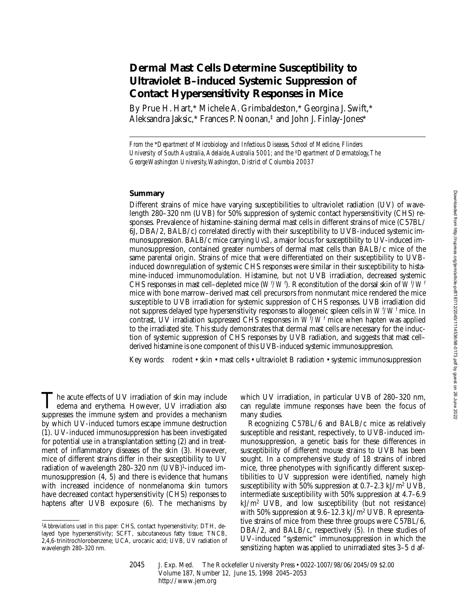# **Dermal Mast Cells Determine Susceptibility to Ultraviolet B–induced Systemic Suppression of Contact Hypersensitivity Responses in Mice**

By Prue H. Hart,\* Michele A. Grimbaldeston,\* Georgina J. Swift,\* Aleksandra Jaksic,\* Frances P. Noonan,‡ and John J. Finlay-Jones\*

*From the* \**Department of Microbiology and Infectious Diseases, School of Medicine, Flinders University of South Australia, Adelaide, Australia 5001; and the* ‡*Department of Dermatology, The George Washington University, Washington, District of Columbia 20037*

## **Summary**

Different strains of mice have varying susceptibilities to ultraviolet radiation (UV) of wavelength 280–320 nm (UVB) for 50% suppression of systemic contact hypersensitivity (CHS) responses. Prevalence of histamine-staining dermal mast cells in different strains of mice (C57BL/ 6J, DBA/2, BALB/c) correlated directly with their susceptibility to UVB-induced systemic immunosuppression. BALB/c mice carrying *Uvs1*, a major locus for susceptibility to UV-induced immunosuppression, contained greater numbers of dermal mast cells than BALB/c mice of the same parental origin. Strains of mice that were differentiated on their susceptibility to UVBinduced downregulation of systemic CHS responses were similar in their susceptibility to histamine-induced immunomodulation. Histamine, but not UVB irradiation, decreased systemic CHS responses in mast cell-depleted mice  $(W^t/W^t)$ . Reconstitution of the dorsal skin of  $W^t/W^t$ mice with bone marrow–derived mast cell precursors from nonmutant mice rendered the mice susceptible to UVB irradiation for systemic suppression of CHS responses. UVB irradiation did not suppress delayed type hypersensitivity responses to allogeneic spleen cells in *Wf /Wf* mice. In contrast, UV irradiation suppressed CHS responses in  $W^f\!/\!W^f$  mice when hapten was applied to the irradiated site. This study demonstrates that dermal mast cells are necessary for the induction of systemic suppression of CHS responses by UVB radiation, and suggests that mast cell– derived histamine is one component of this UVB-induced systemic immunosuppression.

Key words: rodent • skin • mast cells • ultraviolet B radiation • systemic immunosuppression

The acute effects of UV irradiation of skin may include edema and erythema. However, UV irradiation also suppresses the immune system and provides a mechanism by which UV-induced tumors escape immune destruction (1). UV-induced immunosuppression has been investigated for potential use in a transplantation setting (2) and in treatment of inflammatory diseases of the skin (3). However, mice of different strains differ in their susceptibility to UV radiation of wavelength 280–320 nm (UVB)1-induced immunosuppression (4, 5) and there is evidence that humans with increased incidence of nonmelanoma skin tumors have decreased contact hypersensitivity (CHS) responses to haptens after UVB exposure (6). The mechanisms by

which UV irradiation, in particular UVB of 280–320 nm, can regulate immune responses have been the focus of many studies.

Recognizing C57BL/6 and BALB/c mice as relatively susceptible and resistant, respectively, to UVB-induced immunosuppression, a genetic basis for these differences in susceptibility of different mouse strains to UVB has been sought. In a comprehensive study of 18 strains of inbred mice, three phenotypes with significantly different susceptibilities to UV suppression were identified, namely high susceptibility with 50% suppression at  $0.7-2.3 \text{ kJ/m}^2 \text{ UVB}$ , intermediate susceptibility with 50% suppression at 4.7–6.9 kJ/m2 UVB, and low susceptibility (but not resistance) with 50% suppression at 9.6–12.3 kJ/m2 UVB. Representative strains of mice from these three groups were C57BL/6, DBA/2, and BALB/c, respectively (5). In these studies of UV-induced "systemic" immunosuppression in which the sensitizing hapten was applied to unirradiated sites 3–5 d af-

<sup>1</sup>*Abbreviations used in this paper:* CHS, contact hypersensitivity; DTH, delayed type hypersensitivity; SCFT, subcutaneous fatty tissue; TNCB, 2,4,6-trinitrochlorobenzene; UCA, urocanic acid; UVB, UV radiation of wavelength 280–320 nm.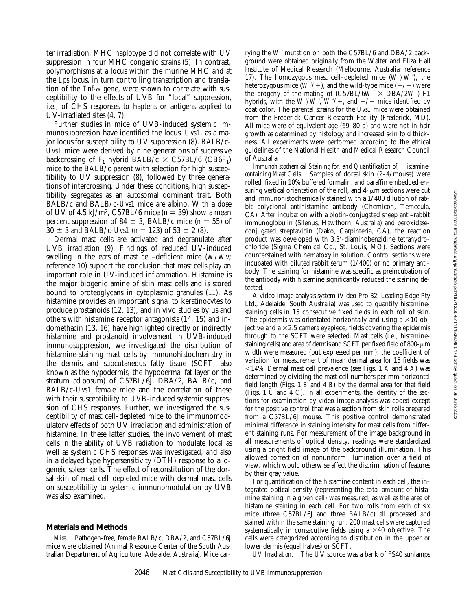ter irradiation, MHC haplotype did not correlate with UV suppression in four MHC congenic strains (5). In contrast, polymorphisms at a locus within the murine MHC and at the *Lps* locus, in turn controlling transcription and translation of the  $Tnf-\alpha$  gene, were shown to correlate with susceptibility to the effects of UVB for "local" suppression, i.e., of CHS responses to haptens or antigens applied to UV-irradiated sites (4, 7).

Further studies in mice of UVB-induced systemic immunosuppression have identified the locus, *Uvs1*, as a major locus for susceptibility to UV suppression (8). BALB/c-*Uvs1* mice were derived by nine generations of successive backcrossing of  $F_1$  hybrid BALB/c  $\times$  C57BL/6 (CB6F<sub>1</sub>) mice to the BALB/c parent with selection for high susceptibility to UV suppression (8), followed by three generations of intercrossing. Under these conditions, high susceptibility segregates as an autosomal dominant trait. Both BALB/c and BALB/c-*Uvs1* mice are albino. With a dose of UV of 4.5 kJ/m<sup>2</sup>, C57BL/6 mice  $(n = 39)$  show a mean percent suppression of 84  $\pm$  3, BALB/c mice (*n* = 55) of  $30 \pm 3$  and BALB/c-*Uvs1* ( $n = 123$ ) of  $53 \pm 2$  (8).

Dermal mast cells are activated and degranulate after UVB irradiation (9). Findings of reduced UV-induced swelling in the ears of mast cell–deficient mice (*W/Wv*; reference 10) support the conclusion that mast cells play an important role in UV-induced inflammation. Histamine is the major biogenic amine of skin mast cells and is stored bound to proteoglycans in cytoplasmic granules (11). As histamine provides an important signal to keratinocytes to produce prostanoids (12, 13), and in vivo studies by us and others with histamine receptor antagonists (14, 15) and indomethacin (13, 16) have highlighted directly or indirectly histamine and prostanoid involvement in UVB-induced immunosuppression, we investigated the distribution of histamine-staining mast cells by immunohistochemistry in the dermis and subcutaneous fatty tissue (SCFT, also known as the hypodermis, the hypodermal fat layer or the stratum adiposum) of C57BL/6J, DBA/2, BALB/c, and BALB/c-*Uvs1* female mice and the correlation of these with their susceptibility to UVB-induced systemic suppression of CHS responses. Further, we investigated the susceptibility of mast cell–depleted mice to the immunomodulatory effects of both UV irradiation and administration of histamine. In these latter studies, the involvement of mast cells in the ability of UVB radiation to modulate local as well as systemic CHS responses was investigated, and also in a delayed type hypersensitivity (DTH) response to allogeneic spleen cells. The effect of reconstitution of the dorsal skin of mast cell–depleted mice with dermal mast cells on susceptibility to systemic immunomodulation by UVB was also examined.

#### **Materials and Methods**

*Mice.* Pathogen-free, female BALB/c, DBA/2, and C57BL/6J mice were obtained (Animal Resource Center of the South Australian Department of Agriculture, Adelaide, Australia). Mice car-

rying the *W <sup>f</sup>* mutation on both the C57BL/6 and DBA/2 background were obtained originally from the Walter and Eliza Hall Institute of Medical Research (Melbourne, Australia; reference 17). The homozygous mast cell–depleted mice  $(W^{\dagger}/W^{\dagger})$ , the heterozygous mice (*W <sup>f</sup>/*+), and the wild-type mice (+/+) were the progeny of the mating of  $(C57BL/6W^f \times DBA/2W^f)$  F1 hybrids, with the  $W^{f}/W^{f}$ ,  $W^{f}/+$ , and  $+$ / $+$  mice identified by coat color. The parental strains for the *Uvs1* mice were obtained from the Frederick Cancer Research Facility (Frederick, MD). All mice were of equivalent age (69–80 d) and were not in hair growth as determined by histology and increased skin fold thickness. All experiments were performed according to the ethical guidelines of the National Health and Medical Research Council of Australia.

*Immunohistochemical Staining for, and Quantification of, Histaminecontaining Mast Cells.* Samples of dorsal skin (2–4/mouse) were rolled, fixed in 10% buffered formalin, and paraffin embedded ensuring vertical orientation of the roll, and  $4-\mu m$  sections were cut and immunohistochemically stained with a 1/400 dilution of rabbit polyclonal antihistamine antibody (Chemicon, Temecula, CA). After incubation with a biotin-conjugated sheep anti–rabbit immunoglobulin (Silenus, Hawthorn, Australia) and peroxidaseconjugated streptavidin (Dako, Carpinteria, CA), the reaction product was developed with 3,3'-diaminobenzidine tetrahydrochloride (Sigma Chemical Co., St. Louis, MO). Sections were counterstained with hematoxylin solution. Control sections were incubated with diluted rabbit serum (1/400) or no primary antibody. The staining for histamine was specific as preincubation of the antibody with histamine significantly reduced the staining detected.

A video image analysis system (Video Pro 32; Leading Edge Pty Ltd., Adelaide, South Australia) was used to quantify histaminestaining cells in 15 consecutive fixed fields in each roll of skin. The epidermis was orientated horizontally and using a  $\times 10$  objective and a  $\times$ 2.5 camera eyepiece; fields covering the epidermis through to the SCFT were selected. Mast cells (i.e., histaminestaining cells) and area of dermis and SCFT per fixed field of 800- $\mu$ m width were measured (but expressed per mm); the coefficient of variation for measurement of mean dermal area for 15 fields was ,14%. Dermal mast cell prevalence (see Figs. 1 *A* and 4 *A*) was determined by dividing the mast cell numbers per mm horizontal field length (Figs. 1 *B* and 4 *B*) by the dermal area for that field (Figs. 1 *C* and 4 *C*). In all experiments, the identity of the sections for examination by video image analysis was coded except for the positive control that was a section from skin rolls prepared from a C57BL/6J mouse. This positive control demonstrated minimal difference in staining intensity for mast cells from different staining runs. For measurement of the image background in all measurements of optical density, readings were standardized using a bright field image of the background illumination. This allowed correction of nonuniform illumination over a field of view, which would otherwise affect the discrimination of features by their gray value.

For quantification of the histamine content in each cell, the integrated optical density (representing the total amount of histamine staining in a given cell) was measured, as well as the area of histamine staining in each cell. For two rolls from each of six mice (three C57BL/6J and three BALB/c) all processed and stained within the same staining run, 200 mast cells were captured systematically in consecutive fields using a  $\times$ 40 objective. The cells were categorized according to distribution in the upper or lower dermis (equal halves) or SCFT.

*UV Irradiation.* The UV source was a bank of FS40 sunlamps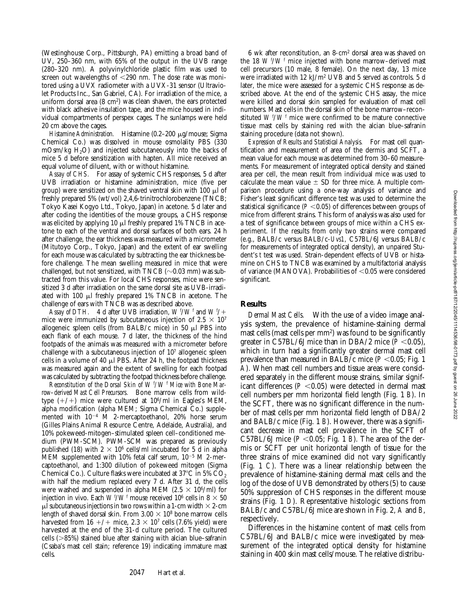(Westinghouse Corp., Pittsburgh, PA) emitting a broad band of UV, 250–360 nm, with 65% of the output in the UVB range (280–320 nm). A polyvinylchloride plastic film was used to screen out wavelengths of  $<290$  nm. The dose rate was monitored using a UVX radiometer with a UVX-31 sensor (Ultraviolet Products Inc., San Gabriel, CA). For irradiation of the mice, a uniform dorsal area (8 cm2) was clean shaven, the ears protected with black adhesive insulation tape, and the mice housed in individual compartments of perspex cages. The sunlamps were held 20 cm above the cages.

*Histamine Administration.* Histamine (0.2–200 μg/mouse; Sigma Chemical Co.) was dissolved in mouse osmolality PBS (330  $mOsm/kg$  H<sub>2</sub>O) and injected subcutaneously into the backs of mice 5 d before sensitization with hapten. All mice received an equal volume of diluent, with or without histamine.

*Assay of CHS.* For assay of systemic CHS responses, 5 d after UVB irradiation or histamine administration, mice (five per group) were sensitized on the shaved ventral skin with 100  $\mu$ l of freshly prepared 5% (wt/vol) 2,4,6-trinitrochlorobenzene (TNCB; Tokyo Kasei Kogyo Ltd., Tokyo, Japan) in acetone. 5 d later and after coding the identities of the mouse groups, a CHS response was elicited by applying 10  $\mu$ l freshly prepared 1% TNCB in acetone to each of the ventral and dorsal surfaces of both ears. 24 h after challenge, the ear thickness was measured with a micrometer (Mitutoyo Corp., Tokyo, Japan) and the extent of ear swelling for each mouse was calculated by subtracting the ear thickness before challenge. The mean swelling measured in mice that were challenged, but not sensitized, with TNCB ( $\sim$ 0.03 mm) was subtracted from this value. For local CHS responses, mice were sensitized 3 d after irradiation on the same dorsal site as UVB-irradiated with 100 ml freshly prepared 1% TNCB in acetone. The challenge of ears with TNCB was as described above.

*Assay of DTH.* 4 d after UVB irradiation,  $W^{f}/W^{f}$  and  $W^{f}/+$ mice were immunized by subcutaneous injection of  $2.5 \times 10^7$ allogeneic spleen cells (from BALB/c mice) in 50  $\mu$ l PBS into each flank of each mouse. 7 d later, the thickness of the hind footpads of the animals was measured with a micrometer before challenge with a subcutaneous injection of 107 allogeneic spleen cells in a volume of 40  $\mu$ l PBS. After 24 h, the footpad thickness was measured again and the extent of swelling for each footpad was calculated by subtracting the footpad thickness before challenge.

*Reconstitution of the Dorsal Skin of*  $W^f/W^f$  *Mice with Bone Marrow–derived Mast Cell Precursors.* Bone marrow cells from wildtype  $(+/+)$  mice were cultured at  $10^6/\text{ml}$  in Eagles's MEM, alpha modification (alpha MEM; Sigma Chemical Co.) supplemented with  $10^{-4}$  M 2-mercaptoethanol, 20% horse serum (Gilles Plains Animal Resource Centre, Adelaide, Australia), and 10% pokeweed-mitogen–stimulated spleen cell–conditioned medium (PWM-SCM). PWM-SCM was prepared as previously published (18) with  $2 \times 10^6$  cells/ml incubated for 5 d in alpha MEM supplemented with 10% fetal calf serum,  $10^{-5}$  M 2-mercaptoethanol, and 1:300 dilution of pokeweed mitogen (Sigma Chemical Co.). Culture flasks were incubated at  $37^{\circ}$ C in 5% CO<sub>2</sub> with half the medium replaced every 7 d. After 31 d, the cells were washed and suspended in alpha MEM (2.5  $\times$  10<sup>6</sup>/ml) for injection in vivo. Each  $W^{\prime}/W^{\prime}$  mouse received  $10^6$  cells in  $8\times 50$  $\mu$ l subcutaneous injections in two rows within a 1-cm width  $\times$  2-cm length of shaved dorsal skin. From  $3.00 \times 10^8$  bone marrow cells harvested from 16 +/+ mice,  $2.3 \times 10^7$  cells (7.6% yield) were harvested at the end of the 31-d culture period. The cultured cells  $(>=85%)$  stained blue after staining with alcian blue–safranin (Csaba's mast cell stain; reference 19) indicating immature mast cells.

the 18 *W <sup>f</sup>* /*W <sup>f</sup>* mice injected with bone marrow–derived mast cell precursors (10 male, 8 female). On the next day, 13 mice were irradiated with 12 kJ/m2 UVB and 5 served as controls. 5 d later, the mice were assessed for a systemic CHS response as described above. At the end of the systemic CHS assay, the mice were killed and dorsal skin sampled for evaluation of mast cell numbers. Mast cells in the dorsal skin of the bone marrow–reconstituted  $W^{\mathit{f}}/W^{\mathit{f}}$  mice were confirmed to be mature connective tissue mast cells by staining red with the alcian blue–safranin staining procedure (data not shown). *Expression of Results and Statistical Analysis.* For mast cell quan-

6 wk after reconstitution, an 8-cm2 dorsal area was shaved on

tification and measurement of area of the dermis and SCFT, a mean value for each mouse was determined from 30–60 measurements. For measurement of integrated optical density and stained area per cell, the mean result from individual mice was used to calculate the mean value  $\pm$  SD for three mice. A multiple comparison procedure using a one-way analysis of variance and Fisher's least significant difference test was used to determine the statistical significance ( $P < 0.05$ ) of differences between groups of mice from different strains. This form of analysis was also used for a test of significance between groups of mice within a CHS experiment. If the results from only two strains were compared (e.g., BALB/c versus BALB/c-*Uvs1,* C57BL/6J versus BALB/c for measurements of integrated optical density), an unpaired Student's *t* test was used. Strain-dependent effects of UVB or histamine on CHS to TNCB was examined by a multifactorial analysis of variance (MANOVA). Probabilities of  $<$  0.05 were considered significant.

### **Results**

*Dermal Mast Cells.* With the use of a video image analysis system, the prevalence of histamine-staining dermal mast cells (mast cells per mm2) was found to be significantly greater in C57BL/6J mice than in DBA/2 mice  $(P<0.05)$ , which in turn had a significantly greater dermal mast cell prevalence than measured in BALB/c mice  $(P \le 0.05$ ; Fig. 1 *A*). When mast cell numbers and tissue areas were considered separately in the different mouse strains, similar significant differences  $(P \le 0.05)$  were detected in dermal mast cell numbers per mm horizontal field length (Fig. 1 *B*). In the SCFT, there was no significant difference in the number of mast cells per mm horizontal field length of DBA/2 and BALB/c mice (Fig. 1 *B*). However, there was a significant decrease in mast cell prevalence in the SCFT of C57BL/6J mice  $(P < 0.05$ ; Fig. 1 *B*). The area of the dermis or SCFT per unit horizontal length of tissue for the three strains of mice examined did not vary significantly (Fig. 1 *C*). There was a linear relationship between the prevalence of histamine-staining dermal mast cells and the log of the dose of UVB demonstrated by others (5) to cause 50% suppression of CHS responses in the different mouse strains (Fig. 1 *D*). Representative histologic sections from BALB/c and C57BL/6J mice are shown in Fig. 2, *A* and *B*, respectively.

Differences in the histamine content of mast cells from C57BL/6J and BALB/c mice were investigated by measurement of the integrated optical density for histamine staining in 400 skin mast cells/mouse. The relative distribu-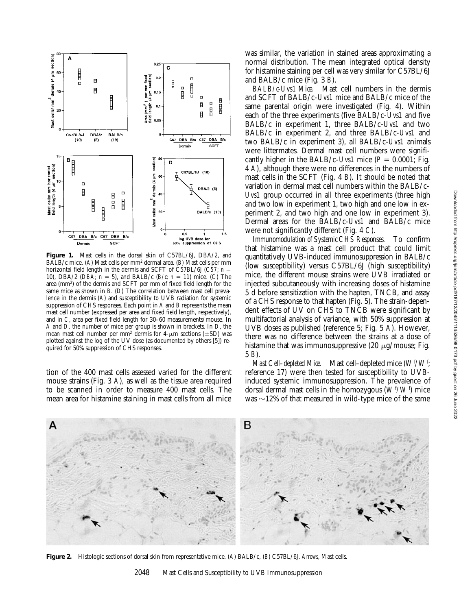

**Figure 1.** Mast cells in the dorsal skin of C57BL/6J, DBA/2, and BALB/c mice. (*A*) Mast cells per mm2 dermal area. (*B*) Mast cells per mm horizontal field length in the dermis and SCFT of C57BL/6J ( $C\overline{57}$ ; *n* = 10), DBA/2 (*DBA*;  $n = 5$ ), and BALB/c (*B/c*;  $n = 11$ ) mice. (*C*) The area (mm2) of the dermis and SCFT per mm of fixed field length for the same mice as shown in *B*. (*D*) The correlation between mast cell prevalence in the dermis (*A*) and susceptibility to UVB radiation for systemic suppression of CHS responses. Each point in *A* and *B* represents the mean mast cell number (expressed per area and fixed field length, respectively), and in *C*, area per fixed field length for 30–60 measurements/mouse. In *A* and *D*, the number of mice per group is shown in brackets. In *D*, the mean mast cell number per mm<sup>2</sup> dermis for  $4-\mu m$  sections ( $\pm SD$ ) was plotted against the log of the UV dose (as documented by others [5]) required for 50% suppression of CHS responses.

tion of the 400 mast cells assessed varied for the different mouse strains (Fig. 3 *A*), as well as the tissue area required to be scanned in order to measure 400 mast cells. The mean area for histamine staining in mast cells from all mice

was similar, the variation in stained areas approximating a normal distribution. The mean integrated optical density for histamine staining per cell was very similar for C57BL/6J and BALB/c mice (Fig. 3 *B*).

*BALB/c-Uvs1 Mice.* Mast cell numbers in the dermis and SCFT of BALB/c-*Uvs1* mice and BALB/c mice of the same parental origin were investigated (Fig. 4). Within each of the three experiments (five BALB/c-*Uvs1* and five BALB/c in experiment 1, three BALB/c-*Uvs1* and two BALB/c in experiment 2, and three BALB/c-*Uvs1* and two BALB/c in experiment 3), all BALB/c-*Uvs1* animals were littermates. Dermal mast cell numbers were significantly higher in the BALB/c-*Uvs1* mice  $(P = 0.0001$ ; Fig. 4 *A*), although there were no differences in the numbers of mast cells in the SCFT (Fig. 4 *B*). It should be noted that variation in dermal mast cell numbers within the BALB/c-*Uvs1* group occurred in all three experiments (three high and two low in experiment 1, two high and one low in experiment 2, and two high and one low in experiment 3). Dermal areas for the BALB/c-*Uvs1* and BALB/c mice were not significantly different (Fig. 4 *C*).

*Immunomodulation of Systemic CHS Responses.* To confirm that histamine was a mast cell product that could limit quantitatively UVB-induced immunosuppression in BALB/c (low susceptibility) versus C57BL/6J (high susceptibility) mice, the different mouse strains were UVB irradiated or injected subcutaneously with increasing doses of histamine 5 d before sensitization with the hapten, TNCB, and assay of a CHS response to that hapten (Fig. 5). The strain-dependent effects of UV on CHS to TNCB were significant by multifactorial analysis of variance, with 50% suppression at UVB doses as published (reference 5; Fig. 5 *A*). However, there was no difference between the strains at a dose of histamine that was immunosuppressive  $(20 \mu g/m$ ouse; Fig. 5 *B*).

*Mast Cell–depleted Mice.* Mast cell–depleted mice  $(W^f/W^f)$ ; reference 17) were then tested for susceptibility to UVBinduced systemic immunosuppression. The prevalence of dorsal dermal mast cells in the homozygous  $(W^{\mathrm{f}}/W^{\mathrm{f}})$  mice was  $\sim$ 12% of that measured in wild-type mice of the same



**Figure 2.** Histologic sections of dorsal skin from representative mice. (*A*) BALB/c, (*B*) C57BL/6J. *Arrows*, Mast cells.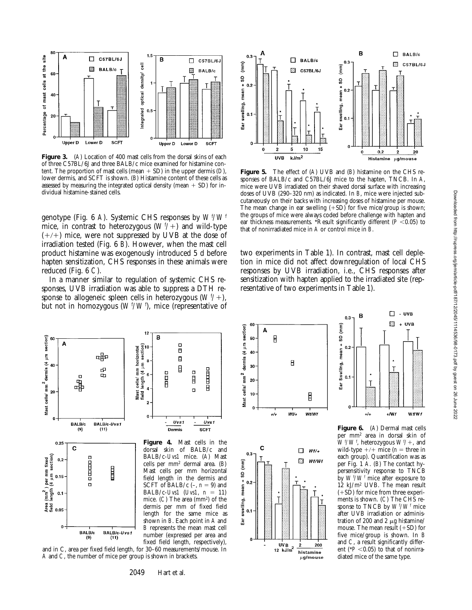

Figure 3. (A) Location of 400 mast cells from the dorsal skins of each of three C57BL/6J and three BALB/c mice examined for histamine content. The proportion of mast cells (mean  $+$  SD) in the upper dermis (*D*), lower dermis, and SCFT is shown. (*B*) Histamine content of these cells as assessed by measuring the integrated optical density (mean  $+$  SD) for individual histamine-stained cells.

genotype (Fig. 6 *A*). Systemic CHS responses by  $W^{\mathrm{f}}\!/W^{\mathrm{f}}$ mice, in contrast to heterozygous  $(W^{f}/+)$  and wild-type  $(+/+)$  mice, were not suppressed by UVB at the dose of irradiation tested (Fig. 6 *B*). However, when the mast cell product histamine was exogenously introduced 5 d before hapten sensitization, CHS responses in these animals were reduced (Fig. 6 *C*).

In a manner similar to regulation of systemic CHS responses, UVB irradiation was able to suppress a DTH response to allogeneic spleen cells in heterozygous  $(W^{f}/+)$ , but not in homozygous (*W<sup>t</sup>/W'*), mice (representative of



and in C, area per fixed field length, for 30–60 measurements/mouse. In *A* and *C*, the number of mice per group is shown in brackets.



**Figure 5.** The effect of (*A*) UVB and (*B*) histamine on the CHS responses of BALB/c and C57BL/6J mice to the hapten, TNCB. In *A*, mice were UVB irradiated on their shaved dorsal surface with increasing doses of UVB (290–320 nm) as indicated. In *B*, mice were injected subcutaneously on their backs with increasing doses of histamine per mouse. The mean change in ear swelling  $(+SD)$  for five mice/group is shown; the groups of mice were always coded before challenge with hapten and ear thickness measurements. \*Result significantly different ( $P < 0.05$ ) to that of nonirradiated mice in *A* or control mice in *B*.

two experiments in Table 1). In contrast, mast cell depletion in mice did not affect downregulation of local CHS responses by UVB irradiation, i.e., CHS responses after sensitization with hapten applied to the irradiated site (representative of two experiments in Table 1).

 $\widehat{[mn]}$ 

SD

 $mean +$ 

Ear Swelling,

0.1

O

B  $0.3$ 

Τ

 $+1$ 



**HUTTING** 



**Figure 6.** (*A*) Dermal mast cells per mm2 area in dorsal skin of  $W^{f}/W^{f}$ , heterozygous  $W^{f}/+$ , and wild-type  $+/+$  mice (*n* = three in each group). Quantification was as per Fig. 1 *A*. (*B*) The contact hypersensitivity response to TNCB by  $W^{\text{f}}/W^{\text{f}}$  mice after exposure to 12 kJ/m2 UVB. The mean result  $(+SD)$  for mice from three experiments is shown. (*C*) The CHS response to TNCB by  $W^f/W^f$  mice after UVB irradiation or administration of 200 and 2  $\mu$ g histamine/ mouse. The mean result  $(+SD)$  for five mice/group is shown. In *B* and *C*, a result significantly different ( $P < 0.05$ ) to that of nonirradiated mice of the same type.

 $\square$  - UVB

 $\Box$  $+$  UVB

T

 $+$ Mf

 $Wf/Wf$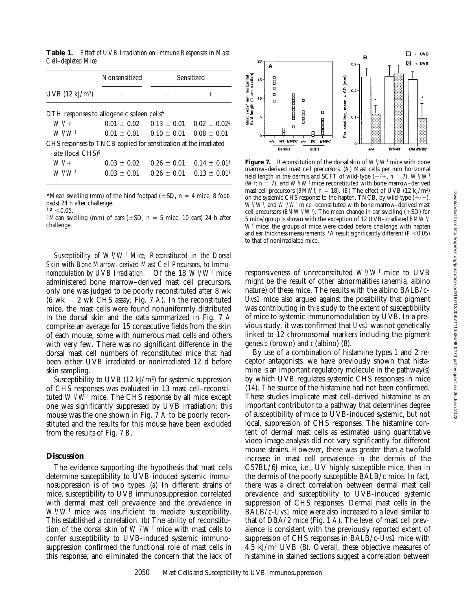**Table 1.** *Effect of UVB Irradiation on Immune Responses in Mast Cell–depleted Mice*

|                                                                   | Nonsensitized   | Sensitized                  |                            |
|-------------------------------------------------------------------|-----------------|-----------------------------|----------------------------|
| $UVB(12 \text{ kJ/m}^2)$                                          |                 |                             |                            |
| DTH responses to allogeneic spleen cells*                         |                 |                             |                            |
| $W^{f}/+$                                                         | $0.01 \pm 0.02$ | $0.13 \pm 0.01$             | $0.02 \pm 0.02^{\ddagger}$ |
| $W^{f}/W^{f}$                                                     |                 | $0.01 + 0.01$ $0.10 + 0.01$ | $0.08 + 0.01$              |
| CHS responses to TNCB applied for sensitization at the irradiated |                 |                             |                            |
| site (local CHS) <sup>§</sup>                                     |                 |                             |                            |
| $W^{f}/+$                                                         | $0.03 + 0.02$   | $0.26 + 0.01$               | $0.14 \pm 0.01^{\ddagger}$ |
| $W$ f/Wf                                                          | $0.03 + 0.01$   | $0.26 + 0.01$               | $0.13 + 0.01^{\ddagger}$   |

\*Mean swelling (mm) of the hind footpad ( $\pm$ SD, n = 4 mice, 8 footpads) 24 h after challenge.

 $\frac{1}{7}P < 0.05$ .

§Mean swelling (mm) of ears ( $\pm$ SD, n = 5 mice, 10 ears) 24 h after challenge.

*Susceptibility of*  $W^f/W^f$  *Mice, Reconstituted in the Dorsal Skin with Bone Marrow–derived Mast Cell Precursors, to Immunomodulation by UVB Irradiation.* Of the 18  $W^f/W^f$  mice administered bone marrow–derived mast cell precursors, only one was judged to be poorly reconstituted after 8 wk (6 wk  $+$  2 wk CHS assay; Fig. 7 *A*). In the reconstituted mice, the mast cells were found nonuniformly distributed in the dorsal skin and the data summarized in Fig. 7 *A* comprise an average for 15 consecutive fields from the skin of each mouse, some with numerous mast cells and others with very few. There was no significant difference in the dorsal mast cell numbers of reconstituted mice that had been either UVB irradiated or nonirradiated 12 d before skin sampling.

Susceptibility to UVB  $(12 \text{ kJ/m}^2)$  for systemic suppression of CHS responses was evaluated in 13 mast cell–reconstituted  $W^{\mathrm{f}}/W^{\mathrm{f}}$  mice. The CHS response by all mice except one was significantly suppressed by UVB irradiation; this mouse was the one shown in Fig. 7 *A* to be poorly reconstituted and the results for this mouse have been excluded from the results of Fig. 7 *B*.

## **Discussion**

The evidence supporting the hypothesis that mast cells determine susceptibility to UVB-induced systemic immunosuppression is of two types. (*a*) In different strains of mice, susceptibility to UVB immunosuppression correlated with dermal mast cell prevalence and the prevalence in  $W^f/W^f$  mice was insufficient to mediate susceptibility. This established a correlation. (*b*) The ability of reconstitution of the dorsal skin of  $W^f/W^f$  mice with mast cells to confer susceptibility to UVB-induced systemic immunosuppression confirmed the functional role of mast cells in this response, and eliminated the concern that the lack of



**Figure 7.** Reconstitution of the dorsal skin of  $W^{\mathrm{f}}/W^{\mathrm{f}}$  mice with bone marrow–derived mast cell precursors. (*A*) Mast cells per mm horizontal field length in the dermis and SCFT of wild-type  $(+/+, n = 7)$ ,  $W^f/W^f$ (*Wf*;  $n = 7$ ), and  $W^f/W^f$  mice reconstituted with bone marrow–derived mast cell precursors (*BMWf*;  $n = 18$ *).* (*B*) The effect of UVB (12 kJ/m<sup>2</sup>) on the systemic CHS response to the hapten, TNCB, by wild-type  $(+/+)$ ,  $W^{\frac{f}{f}}W^{\frac{f}{f}}$  and  $W^{\frac{f}{f}}W^{\frac{f}{f}}$  mice reconstituted with bone marrow–derived mast cell precursors (*BMW<sup>t/</sup>W<sup>t</sup>*). The mean change in ear swelling (+SD) for 5 mice/group is shown with the exception of 12 UVB-irradiated *BMW <sup>f</sup> /* W<sup>f</sup> mice; the groups of mice were coded before challenge with hapten and ear thickness measurements. \*A result significantly different  $(P < 0.05)$ to that of nonirradiated mice.

responsiveness of unreconstituted  $W^{\mathrm{f}}/W^{\mathrm{f}}$  mice to UVB might be the result of other abnormalities (anemia, albino nature) of these mice. The results with the albino BALB/c-*Uvs1* mice also argued against the possibility that pigment was contributing in this study to the extent of susceptibility of mice to systemic immunomodulation by UVB. In a previous study, it was confirmed that *Uvs1* was not genetically linked to 12 chromosomal markers including the pigment genes *b* (brown) and *c* (albino) (8).

By use of a combination of histamine types 1 and 2 receptor antagonists, we have previously shown that histamine is an important regulatory molecule in the pathway(s) by which UVB regulates systemic CHS responses in mice (14). The source of the histamine had not been confirmed. These studies implicate mast cell–derived histamine as an important contributor to a pathway that determines degree of susceptibility of mice to UVB-induced systemic, but not local, suppression of CHS responses. The histamine content of dermal mast cells as estimated using quantitative video image analysis did not vary significantly for different mouse strains. However, there was greater than a twofold increase in mast cell prevalence in the dermis of the C57BL/6J mice, i.e., UV highly susceptible mice, than in the dermis of the poorly susceptible BALB/c mice. In fact, there was a direct correlation between dermal mast cell prevalence and susceptibility to UVB-induced systemic suppression of CHS responses. Dermal mast cells in the BALB/c-*Uvs1* mice were also increased to a level similar to that of DBA/2 mice (Fig. 1 *A*). The level of mast cell prevalence is consistent with the previously reported extent of suppression of CHS responses in BALB/c-*Uvs1* mice with 4.5 kJ/m2 UVB (8). Overall, these objective measures of histamine in stained sections suggest a correlation between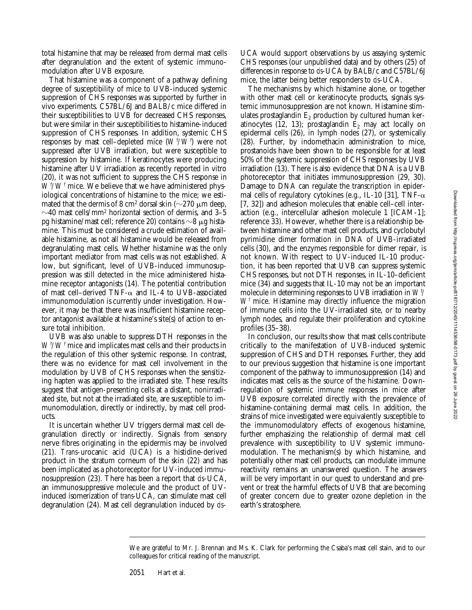total histamine that may be released from dermal mast cells after degranulation and the extent of systemic immunomodulation after UVB exposure.

That histamine was a component of a pathway defining degree of susceptibility of mice to UVB-induced systemic suppression of CHS responses was supported by further in vivo experiments. C57BL/6J and BALB/c mice differed in their susceptibilities to UVB for decreased CHS responses, but were similar in their susceptibilities to histamine-induced suppression of CHS responses. In addition, systemic CHS responses by mast cell–depleted mice  $(W^{\text{f}}/W^{\text{f}})$  were not suppressed after UVB irradiation, but were susceptible to suppression by histamine. If keratinocytes were producing histamine after UV irradiation as recently reported in vitro (20), it was not sufficient to suppress the CHS response in *W<sup>f</sup>*/*W<sup>f</sup>* mice. We believe that we have administered physiological concentrations of histamine to the mice; we estimated that the dermis of 8 cm<sup>2</sup> dorsal skin ( $\sim$ 270  $\mu$ m deep,  $\sim$ 40 mast cells/mm<sup>2</sup> horizontal section of dermis, and 3–5 pg histamine/mast cell; reference 20) contains  $\sim$ 8  $\mu$ g histamine. This must be considered a crude estimation of available histamine, as not all histamine would be released from degranulating mast cells. Whether histamine was the only important mediator from mast cells was not established. A low, but significant, level of UVB-induced immunosuppression was still detected in the mice administered histamine receptor antagonists (14). The potential contribution of mast cell–derived TNF- $\alpha$  and IL-4 to UVB-associated immunomodulation is currently under investigation. However, it may be that there was insufficient histamine receptor antagonist available at histamine's site(s) of action to ensure total inhibition.

UVB was also unable to suppress DTH responses in the  $W^f/W^f$  mice and implicates mast cells and their products in the regulation of this other systemic response. In contrast, there was no evidence for mast cell involvement in the modulation by UVB of CHS responses when the sensitizing hapten was applied to the irradiated site. These results suggest that antigen-presenting cells at a distant, nonirradiated site, but not at the irradiated site, are susceptible to immunomodulation, directly or indirectly, by mast cell products.

It is uncertain whether UV triggers dermal mast cell degranulation directly or indirectly. Signals from sensory nerve fibres originating in the epidermis may be involved (21). *Trans*-urocanic acid (UCA) is a histidine-derived product in the stratum corneum of the skin (22) and has been implicated as a photoreceptor for UV-induced immunosuppression (23). There has been a report that *cis*-UCA, an immunosuppressive molecule and the product of UVinduced isomerization of *trans-*UCA, can stimulate mast cell degranulation (24). Mast cell degranulation induced by *cis*- UCA would support observations by us assaying systemic CHS responses (our unpublished data) and by others (25) of differences in response to *cis*-UCA by BALB/c and C57BL/6J mice, the latter being better responders to *cis*-UCA.

The mechanisms by which histamine alone, or together with other mast cell or keratinocyte products, signals systemic immunosuppression are not known. Histamine stimulates prostaglandin  $E_2$  production by cultured human keratinocytes (12, 13); prostaglandin  $E_2$  may act locally on epidermal cells (26), in lymph nodes (27), or systemically (28). Further, by indomethacin administration to mice, prostanoids have been shown to be responsible for at least 50% of the systemic suppression of CHS responses by UVB irradiation (13). There is also evidence that DNA is a UVB photoreceptor that initiates immunosuppression (29, 30). Damage to DNA can regulate the transcription in epidermal cells of regulatory cytokines (e.g., IL-10 [31], TNF- $\alpha$ [7, 32]) and adhesion molecules that enable cell–cell interaction (e.g., intercellular adhesion molecule 1 [ICAM-1]; reference 33). However, whether there is a relationship between histamine and other mast cell products, and cyclobutyl pyrimidine dimer formation in DNA of UVB-irradiated cells (30), and the enzymes responsible for dimer repair, is not known. With respect to UV-induced IL-10 production, it has been reported that UVB can suppress systemic CHS responses, but not DTH responses, in IL-10–deficient mice (34) and suggests that IL-10 may not be an important molecule in determining responses to UVB irradiation in *Wf / Wf* mice. Histamine may directly influence the migration of immune cells into the UV-irradiated site, or to nearby lymph nodes, and regulate their proliferation and cytokine profiles (35–38).

In conclusion, our results show that mast cells contribute critically to the manifestation of UVB-induced systemic suppression of CHS and DTH responses. Further, they add to our previous suggestion that histamine is one important component of the pathway to immunosuppression  $(14)$  and indicates mast cells as the source of the histamine. Downregulation of systemic immune responses in mice after UVB exposure correlated directly with the prevalence of histamine-containing dermal mast cells. In addition, the strains of mice investigated were equivalently susceptible to the immunomodulatory effects of exogenous histamine, further emphasizing the relationship of dermal mast cell prevalence with susceptibility to UV systemic immunomodulation. The mechanism(s) by which histamine, and potentially other mast cell products, can modulate immune reactivity remains an unanswered question. The answers will be very important in our quest to understand and prevent or treat the harmful effects of UVB that are becoming of greater concern due to greater ozone depletion in the earth's stratosphere.

We are grateful to Mr. J. Brennan and Ms. K. Clark for performing the Csaba's mast cell stain, and to our colleagues for critical reading of the manuscript.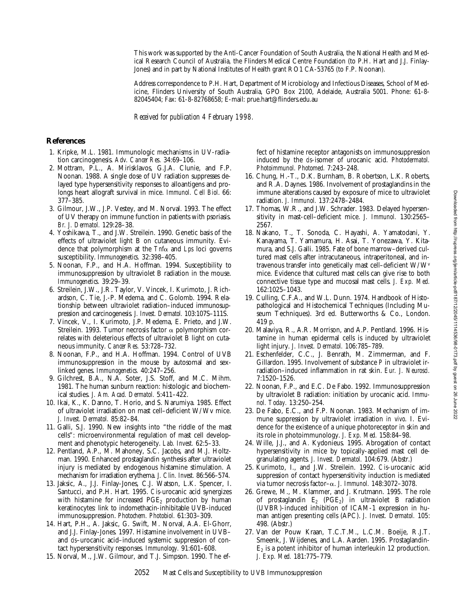This work was supported by the Anti-Cancer Foundation of South Australia, the National Health and Medical Research Council of Australia, the Flinders Medical Centre Foundation (to P.H. Hart and J.J. Finlay-Jones) and in part by National Institutes of Health grant RO1 CA-53765 (to F.P. Noonan).

Address correspondence to P.H. Hart, Department of Microbiology and Infectious Diseases, School of Medicine, Flinders University of South Australia, GPO Box 2100, Adelaide, Australia 5001. Phone: 61-8- 82045404; Fax: 61-8-82768658; E-mail: prue.hart@flinders.edu.au

*Received for publication 4 February 1998.*

### **References**

- 1. Kripke, M.L. 1981. Immunologic mechanisms in UV-radiation carcinogenesis. *Adv. Cancer Res.* 34:69–106.
- 2. Mottram, P.L., A. Mirisklavos, G.J.A. Clunie, and F.P. Noonan*.* 1988. A single dose of UV radiation suppresses delayed type hypersensitivity responses to alloantigens and prolongs heart allograft survival in mice. *Immunol. Cell Biol*. 66: 377–385.
- 3. Gilmour, J.W., J.P. Vestey, and M. Norval. 1993. The effect of UV therapy on immune function in patients with psoriasis. *Br. J. Dermatol.* 129:28–38.
- 4. Yoshikawa, T., and J.W. Streilein. 1990. Genetic basis of the effects of ultraviolet light B on cutaneous immunity. Evidence that polymorphism at the *Tnf*a and *Lps* loci governs susceptibility. *Immunogenetics.* 32:398–405.
- 5. Noonan, F.P., and H.A. Hoffman. 1994. Susceptibility to immunosuppression by ultraviolet B radiation in the mouse. *Immunogenetics.* 39:29–39.
- 6. Streilein, J.W., J.R. Taylor, V. Vincek, I. Kurimoto, J. Richardson, C. Tie, J.-P. Medema, and C. Golomb. 1994. Relationship between ultraviolet radiation–induced immunosuppression and carcinogenesis. *J. Invest. Dermatol.* 103:107S–111S.
- 7. Vincek, V., I. Kurimoto, J.P. Medema, E. Prieto, and J.W. Streilein. 1993. Tumor necrosis factor  $\alpha$  polymorphism correlates with deleterious effects of ultraviolet B light on cutaneous immunity. *Cancer Res.* 53:728–732.
- 8. Noonan, F.P., and H.A. Hoffman. 1994. Control of UVB immunosuppression in the mouse by autosomal and sexlinked genes. *Immunogenetics.* 40:247–256.
- 9. Gilchrest, B.A., N.A. Soter, J.S. Stoff, and M.C. Mihm. 1981. The human sunburn reaction: histologic and biochemical studies. *J. Am. Acad. Dermatol.* 5:411–422.
- 10. Ikai, K., K. Danno, T. Horio, and S. Narumiya. 1985. Effect of ultraviolet irradiation on mast cell–deficient W/Wv mice. *J. Invest. Dermatol.* 85:82–84.
- 11. Galli, S.J. 1990. New insights into "the riddle of the mast cells": microenvironmental regulation of mast cell development and phenotypic heterogeneity. *Lab. Invest.* 62:5–33.
- 12. Pentland, A.P., M. Mahoney, S.C. Jacobs, and M.J. Holtzman. 1990. Enhanced prostaglandin synthesis after ultraviolet injury is mediated by endogenous histamine stimulation. A mechanism for irradiation erythema. *J. Clin. Invest.* 86:566–574.
- 13. Jaksic, A., J.J. Finlay-Jones, C.J. Watson, L.K. Spencer, I. Santucci, and P.H. Hart. 1995. *Cis-*urocanic acid synergizes with histamine for increased  $PGE_2$  production by human keratinocytes: link to indomethacin-inhibitable UVB-induced immunosuppression. *Photochem. Photobiol.* 61:303–309.
- 14. Hart, P.H., A. Jaksic, G. Swift, M. Norval, A.A. El-Ghorr, and J.J. Finlay-Jones. 1997. Histamine involvement in UVB– and *cis*–urocanic acid–induced systemic suppression of contact hypersensitivity responses. *Immunology.* 91:601–608.
- 15. Norval, M., J.W. Gilmour, and T.J. Simpson. 1990. The ef-

fect of histamine receptor antagonists on immunosuppression induced by the *cis*-isomer of urocanic acid. *Photodermatol. Photoimmunol. Photomed.* 7:243–248.

- 16. Chung, H.-T., D.K. Burnham, B. Robertson, L.K. Roberts, and R.A. Daynes. 1986. Involvement of prostaglandins in the immune alterations caused by exposure of mice to ultraviolet radiation. *J. Immunol.* 137:2478–2484.
- 17. Thomas, W.R., and J.W. Schrader. 1983. Delayed hypersensitivity in mast-cell–deficient mice. *J. Immunol.* 130:2565– 2567.
- 18. Nakano, T., T. Sonoda, C. Hayashi, A. Yamatodani, Y. Kanayama, T. Yamamura, H. Asai, T. Yonezawa, Y. Kitamura, and S.J. Galli. 1985. Fate of bone marrow–derived cultured mast cells after intracutaneous, intraperitoneal, and intravenous transfer into genetically mast cell–deficient W/Wv mice. Evidence that cultured mast cells can give rise to both connective tissue type and mucosal mast cells. *J. Exp. Med.* 162:1025–1043.
- 19. Culling, C.F.A., and W.L. Dunn. 1974. Handbook of Histopathological and Histochemical Techniques (Including Museum Techniques). 3rd ed. Butterworths & Co., London. 419 p.
- 20. Malaviya, R., A.R. Morrison, and A.P. Pentland. 1996. Histamine in human epidermal cells is induced by ultraviolet light injury. *J. Invest. Dermatol.* 106:785–789.
- 21. Eschenfelder, C.C., J. Benrath, M. Zimmerman, and F. Gillardon. 1995. Involvement of substance *P* in ultraviolet irradiation–induced inflammation in rat skin. *Eur. J. Neurosci.* 7:1520–1526.
- 22. Noonan, F.P., and E.C. De Fabo. 1992. Immunosuppression by ultraviolet B radiation: initiation by urocanic acid. *Immunol. Today.* 13:250–254.
- 23. De Fabo, E.C., and F.P. Noonan. 1983. Mechanism of immune suppression by ultraviolet irradiation *in vivo*. I. Evidence for the existence of a unique photoreceptor in skin and its role in photoimmunology. *J. Exp. Med.* 158:84–98.
- 24. Wille, J.J., and A. Kydonieus. 1995. Abrogation of contact hypersensitivity in mice by topically-applied mast cell degranulating agents. *J. Invest. Dermatol.* 104:679. (Abstr.)
- 25. Kurimoto, I., and J.W. Streilein. 1992. *Cis*-urocanic acid suppression of contact hypersensitivity induction is mediated via tumor necrosis factor–a. *J. Immunol.* 148:3072–3078.
- 26. Grewe, M., M. Klammer, and J. Krutmann. 1995. The role of prostaglandin  $E_2$  (PGE<sub>2</sub>) in ultraviolet B radiation (UVBR)-induced inhibition of ICAM-1 expression in human antigen presenting cells (APC). *J. Invest. Dermatol.* 105: 498. (Abstr.)
- 27. Van der Pouw Kraan, T.C.T.M., L.C.M. Boeije, R.J.T. Smeenk, J. Wijdenes, and L.A. Aarden. 1995. Prostaglandin- $E<sub>2</sub>$  is a potent inhibitor of human interleukin 12 production. *J. Exp. Med.* 181:775–779.